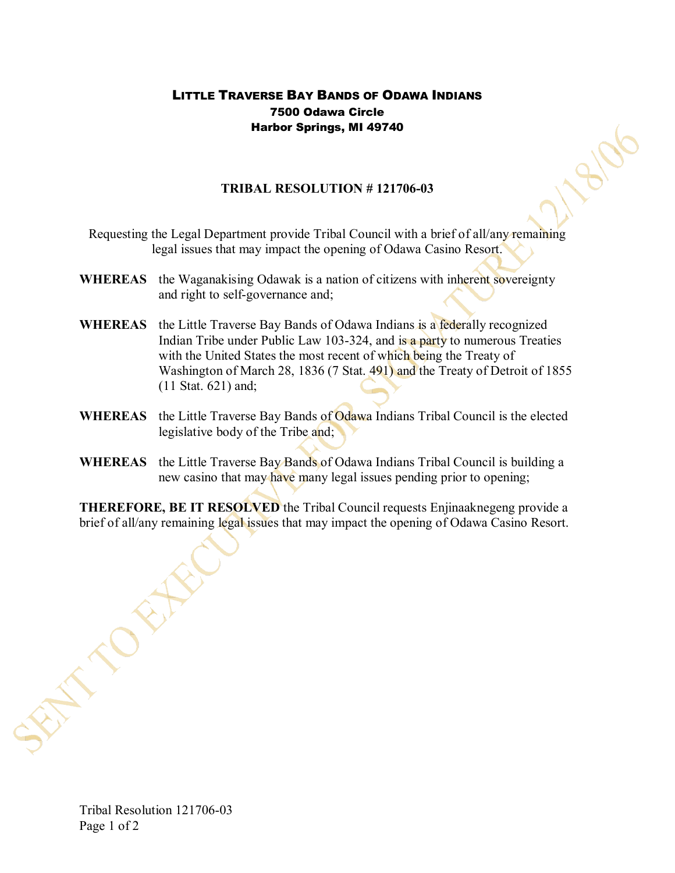## LITTLE TRAVERSE BAY BANDS OF ODAWA INDIANS 7500 Odawa Circle Harbor Springs, MI 49740

## **TRIBAL RESOLUTION #121706-03**

- Requesting the Legal Department provide Tribal Council with a brief of all/any remaining legal issues that may impact the opening of Odawa Casino Resort.
- **WHEREAS** the Waganakising Odawak is a nation of citizens with inherent sovereignty and right to self-governance and;
- **WHEREAS** the Little Traverse Bay Bands of Odawa Indians is a federally recognized Indian Tribe under Public Law 103-324, and is a party to numerous Treaties with the United States the most recent of which being the Treaty of Washington of March 28, 1836 (7 Stat. 491) and the Treaty of Detroit of 1855 (11 Stat. 621) and;
- **WHEREAS** the Little Traverse Bay Bands of Odawa Indians Tribal Council is the elected legislative body of the Tribe and;
- **WHEREAS** the Little Traverse Bay Bands of Odawa Indians Tribal Council is building a new casino that may have many legal issues pending prior to opening;

**THEREFORE, BE IT RESOLVED** the Tribal Council requests Enjinaaknegeng provide a brief of all/any remaining legal issues that may impact the opening of Odawa Casino Resort.